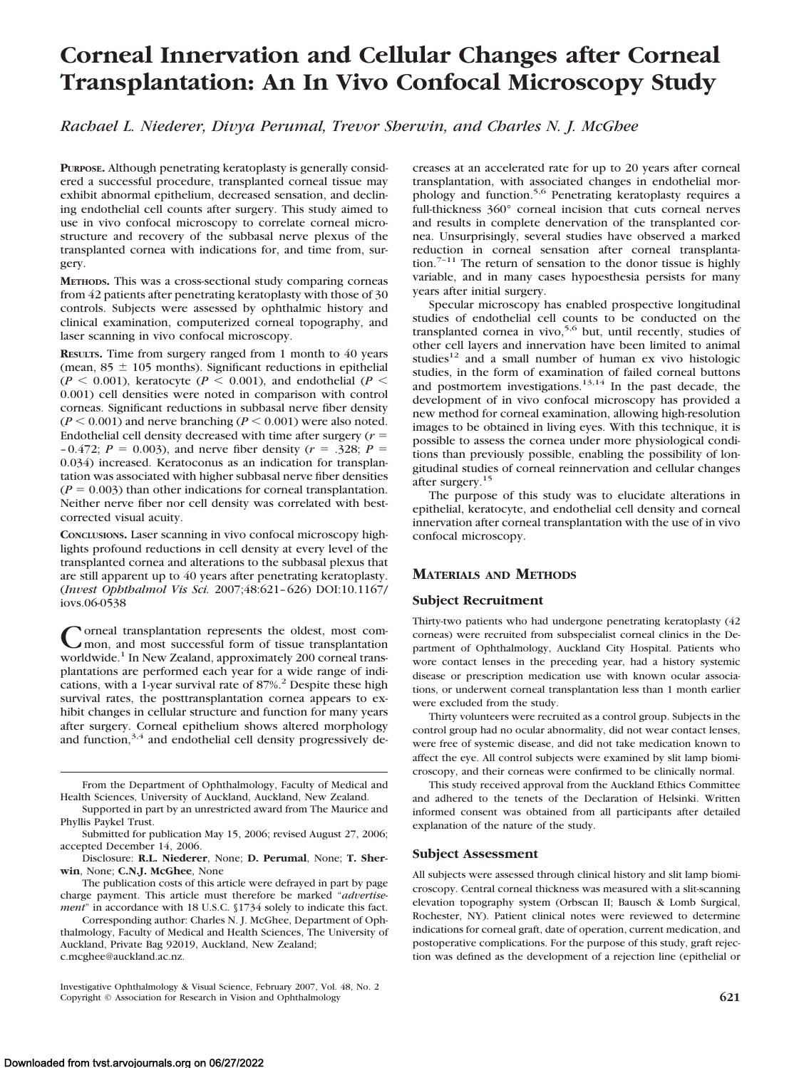# **Corneal Innervation and Cellular Changes after Corneal Transplantation: An In Vivo Confocal Microscopy Study**

*Rachael L. Niederer, Divya Perumal, Trevor Sherwin, and Charles N. J. McGhee*

**PURPOSE.** Although penetrating keratoplasty is generally considered a successful procedure, transplanted corneal tissue may exhibit abnormal epithelium, decreased sensation, and declining endothelial cell counts after surgery. This study aimed to use in vivo confocal microscopy to correlate corneal microstructure and recovery of the subbasal nerve plexus of the transplanted cornea with indications for, and time from, surgery.

**METHODS.** This was a cross-sectional study comparing corneas from 42 patients after penetrating keratoplasty with those of 30 controls. Subjects were assessed by ophthalmic history and clinical examination, computerized corneal topography, and laser scanning in vivo confocal microscopy.

**RESULTS.** Time from surgery ranged from 1 month to 40 years (mean,  $85 \pm 105$  months). Significant reductions in epithelial  $(P \le 0.001)$ , keratocyte  $(P \le 0.001)$ , and endothelial  $(P \le 0.001)$ 0.001) cell densities were noted in comparison with control corneas. Significant reductions in subbasal nerve fiber density  $(P \le 0.001)$  and nerve branching  $(P \le 0.001)$  were also noted. Endothelial cell density decreased with time after surgery (*r*  $-0.472$ ;  $P = 0.003$ ), and nerve fiber density ( $r = .328$ ;  $P =$ 0.034) increased. Keratoconus as an indication for transplantation was associated with higher subbasal nerve fiber densities  $(P = 0.003)$  than other indications for corneal transplantation. Neither nerve fiber nor cell density was correlated with bestcorrected visual acuity.

**CONCLUSIONS.** Laser scanning in vivo confocal microscopy highlights profound reductions in cell density at every level of the transplanted cornea and alterations to the subbasal plexus that are still apparent up to 40 years after penetrating keratoplasty. (*Invest Ophthalmol Vis Sci.* 2007;48:621– 626) DOI:10.1167/ iovs.06-0538

Corneal transplantation represents the oldest, most com-<br>
mon, and most successful form of tissue transplantation worldwide.<sup>1</sup> In New Zealand, approximately 200 corneal transplantations are performed each year for a wide range of indications, with a 1-year survival rate of 87%.<sup>2</sup> Despite these high survival rates, the posttransplantation cornea appears to exhibit changes in cellular structure and function for many years after surgery. Corneal epithelium shows altered morphology and function, $3,4$  and endothelial cell density progressively de-

From the Department of Ophthalmology, Faculty of Medical and Health Sciences, University of Auckland, Auckland, New Zealand.

Supported in part by an unrestricted award from The Maurice and Phyllis Paykel Trust.

The publication costs of this article were defrayed in part by page charge payment. This article must therefore be marked "*advertisement*" in accordance with 18 U.S.C. §1734 solely to indicate this fact.

Corresponding author: Charles N. J. McGhee, Department of Ophthalmology, Faculty of Medical and Health Sciences, The University of Auckland, Private Bag 92019, Auckland, New Zealand; c.mcghee@auckland.ac.nz.

Investigative Ophthalmology & Visual Science, February 2007, Vol. 48, No. 2 Copyright © Association for Research in Vision and Ophthalmology **621**

creases at an accelerated rate for up to 20 years after corneal transplantation, with associated changes in endothelial morphology and function.5,6 Penetrating keratoplasty requires a full-thickness 360° corneal incision that cuts corneal nerves and results in complete denervation of the transplanted cornea. Unsurprisingly, several studies have observed a marked reduction in corneal sensation after corneal transplantation. $7-11$  The return of sensation to the donor tissue is highly variable, and in many cases hypoesthesia persists for many years after initial surgery.

Specular microscopy has enabled prospective longitudinal studies of endothelial cell counts to be conducted on the transplanted cornea in vivo,<sup>5,6</sup> but, until recently, studies of other cell layers and innervation have been limited to animal studies<sup>12</sup> and a small number of human ex vivo histologic studies, in the form of examination of failed corneal buttons and postmortem investigations. $13,14$  In the past decade, the development of in vivo confocal microscopy has provided a new method for corneal examination, allowing high-resolution images to be obtained in living eyes. With this technique, it is possible to assess the cornea under more physiological conditions than previously possible, enabling the possibility of longitudinal studies of corneal reinnervation and cellular changes after surgery.15

The purpose of this study was to elucidate alterations in epithelial, keratocyte, and endothelial cell density and corneal innervation after corneal transplantation with the use of in vivo confocal microscopy.

## **MATERIALS AND METHODS**

## **Subject Recruitment**

Thirty-two patients who had undergone penetrating keratoplasty (42 corneas) were recruited from subspecialist corneal clinics in the Department of Ophthalmology, Auckland City Hospital. Patients who wore contact lenses in the preceding year, had a history systemic disease or prescription medication use with known ocular associations, or underwent corneal transplantation less than 1 month earlier were excluded from the study.

Thirty volunteers were recruited as a control group. Subjects in the control group had no ocular abnormality, did not wear contact lenses, were free of systemic disease, and did not take medication known to affect the eye. All control subjects were examined by slit lamp biomicroscopy, and their corneas were confirmed to be clinically normal.

This study received approval from the Auckland Ethics Committee and adhered to the tenets of the Declaration of Helsinki. Written informed consent was obtained from all participants after detailed explanation of the nature of the study.

## **Subject Assessment**

All subjects were assessed through clinical history and slit lamp biomicroscopy. Central corneal thickness was measured with a slit-scanning elevation topography system (Orbscan II; Bausch & Lomb Surgical, Rochester, NY). Patient clinical notes were reviewed to determine indications for corneal graft, date of operation, current medication, and postoperative complications. For the purpose of this study, graft rejection was defined as the development of a rejection line (epithelial or

Submitted for publication May 15, 2006; revised August 27, 2006; accepted December 14, 2006.

Disclosure: **R.L. Niederer**, None; **D. Perumal**, None; **T. Sherwin**, None; **C.N.J. McGhee**, None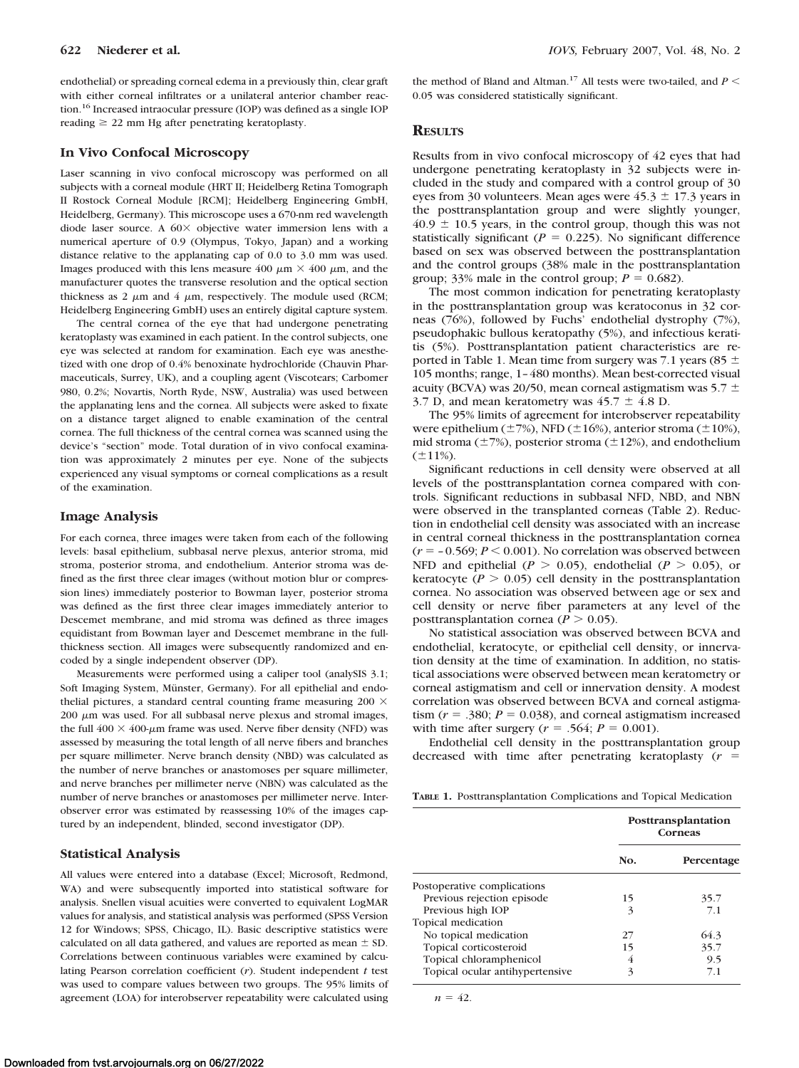endothelial) or spreading corneal edema in a previously thin, clear graft with either corneal infiltrates or a unilateral anterior chamber reaction.16 Increased intraocular pressure (IOP) was defined as a single IOP reading  $\geq 22$  mm Hg after penetrating keratoplasty.

### **In Vivo Confocal Microscopy**

Laser scanning in vivo confocal microscopy was performed on all subjects with a corneal module (HRT II; Heidelberg Retina Tomograph II Rostock Corneal Module [RCM]; Heidelberg Engineering GmbH, Heidelberg, Germany). This microscope uses a 670-nm red wavelength diode laser source. A  $60 \times$  objective water immersion lens with a numerical aperture of 0.9 (Olympus, Tokyo, Japan) and a working distance relative to the applanating cap of 0.0 to 3.0 mm was used. Images produced with this lens measure  $400 \mu m \times 400 \mu m$ , and the manufacturer quotes the transverse resolution and the optical section thickness as 2  $\mu$ m and 4  $\mu$ m, respectively. The module used (RCM; Heidelberg Engineering GmbH) uses an entirely digital capture system.

The central cornea of the eye that had undergone penetrating keratoplasty was examined in each patient. In the control subjects, one eye was selected at random for examination. Each eye was anesthetized with one drop of 0.4% benoxinate hydrochloride (Chauvin Pharmaceuticals, Surrey, UK), and a coupling agent (Viscotears; Carbomer 980, 0.2%; Novartis, North Ryde, NSW, Australia) was used between the applanating lens and the cornea. All subjects were asked to fixate on a distance target aligned to enable examination of the central cornea. The full thickness of the central cornea was scanned using the device's "section" mode. Total duration of in vivo confocal examination was approximately 2 minutes per eye. None of the subjects experienced any visual symptoms or corneal complications as a result of the examination.

### **Image Analysis**

For each cornea, three images were taken from each of the following levels: basal epithelium, subbasal nerve plexus, anterior stroma, mid stroma, posterior stroma, and endothelium. Anterior stroma was defined as the first three clear images (without motion blur or compression lines) immediately posterior to Bowman layer, posterior stroma was defined as the first three clear images immediately anterior to Descemet membrane, and mid stroma was defined as three images equidistant from Bowman layer and Descemet membrane in the fullthickness section. All images were subsequently randomized and encoded by a single independent observer (DP).

Measurements were performed using a caliper tool (analySIS 3.1; Soft Imaging System, Münster, Germany). For all epithelial and endothelial pictures, a standard central counting frame measuring  $200 \times$  $200 \mu m$  was used. For all subbasal nerve plexus and stromal images, the full  $400 \times 400$ - $\mu$ m frame was used. Nerve fiber density (NFD) was assessed by measuring the total length of all nerve fibers and branches per square millimeter. Nerve branch density (NBD) was calculated as the number of nerve branches or anastomoses per square millimeter, and nerve branches per millimeter nerve (NBN) was calculated as the number of nerve branches or anastomoses per millimeter nerve. Interobserver error was estimated by reassessing 10% of the images captured by an independent, blinded, second investigator (DP).

## **Statistical Analysis**

All values were entered into a database (Excel; Microsoft, Redmond, WA) and were subsequently imported into statistical software for analysis. Snellen visual acuities were converted to equivalent LogMAR values for analysis, and statistical analysis was performed (SPSS Version 12 for Windows; SPSS, Chicago, IL). Basic descriptive statistics were calculated on all data gathered, and values are reported as mean  $\pm$  SD. Correlations between continuous variables were examined by calculating Pearson correlation coefficient (*r*). Student independent *t* test was used to compare values between two groups. The 95% limits of agreement (LOA) for interobserver repeatability were calculated using

the method of Bland and Altman.<sup>17</sup> All tests were two-tailed, and  $P \leq$ 0.05 was considered statistically significant.

## **RESULTS**

Results from in vivo confocal microscopy of 42 eyes that had undergone penetrating keratoplasty in 32 subjects were included in the study and compared with a control group of 30 eyes from 30 volunteers. Mean ages were  $45.3 \pm 17.3$  years in the posttransplantation group and were slightly younger,  $40.9 \pm 10.5$  years, in the control group, though this was not statistically significant ( $P = 0.225$ ). No significant difference based on sex was observed between the posttransplantation and the control groups (38% male in the posttransplantation group; 33% male in the control group;  $P = 0.682$ ).

The most common indication for penetrating keratoplasty in the posttransplantation group was keratoconus in 32 corneas (76%), followed by Fuchs' endothelial dystrophy (7%), pseudophakic bullous keratopathy (5%), and infectious keratitis (5%). Posttransplantation patient characteristics are reported in Table 1. Mean time from surgery was 7.1 years (85  $\pm$ 105 months; range, 1– 480 months). Mean best-corrected visual acuity (BCVA) was 20/50, mean corneal astigmatism was 5.7  $\pm$ 3.7 D, and mean keratometry was  $45.7 \pm 4.8$  D.

The 95% limits of agreement for interobserver repeatability were epithelium ( $\pm$ 7%), NFD ( $\pm$ 16%), anterior stroma ( $\pm$ 10%), mid stroma ( $\pm$ 7%), posterior stroma ( $\pm$ 12%), and endothelium  $(11\%)$ 

Significant reductions in cell density were observed at all levels of the posttransplantation cornea compared with controls. Significant reductions in subbasal NFD, NBD, and NBN were observed in the transplanted corneas (Table 2). Reduction in endothelial cell density was associated with an increase in central corneal thickness in the posttransplantation cornea  $(r = -0.569; P \le 0.001)$ . No correlation was observed between NFD and epithelial ( $P > 0.05$ ), endothelial ( $P > 0.05$ ), or keratocyte ( $P > 0.05$ ) cell density in the posttransplantation cornea. No association was observed between age or sex and cell density or nerve fiber parameters at any level of the posttransplantation cornea ( $P > 0.05$ ).

No statistical association was observed between BCVA and endothelial, keratocyte, or epithelial cell density, or innervation density at the time of examination. In addition, no statistical associations were observed between mean keratometry or corneal astigmatism and cell or innervation density. A modest correlation was observed between BCVA and corneal astigmatism  $(r = .380; P = 0.038)$ , and corneal astigmatism increased with time after surgery  $(r = .564; P = 0.001)$ .

Endothelial cell density in the posttransplantation group decreased with time after penetrating keratoplasty (*r*

**TABLE 1.** Posttransplantation Complications and Topical Medication

|                                 | Posttransplantation<br>Corneas |            |
|---------------------------------|--------------------------------|------------|
|                                 | No.                            | Percentage |
| Postoperative complications     |                                |            |
| Previous rejection episode      | 15                             | 35.7       |
| Previous high IOP               | 3                              | 7.1        |
| Topical medication              |                                |            |
| No topical medication           | 27                             | 64.3       |
| Topical corticosteroid          | 15                             | 35.7       |
| Topical chloramphenicol         | 4                              | 9.5        |
| Topical ocular antihypertensive | 3                              | 7.1        |

 $n = 42.$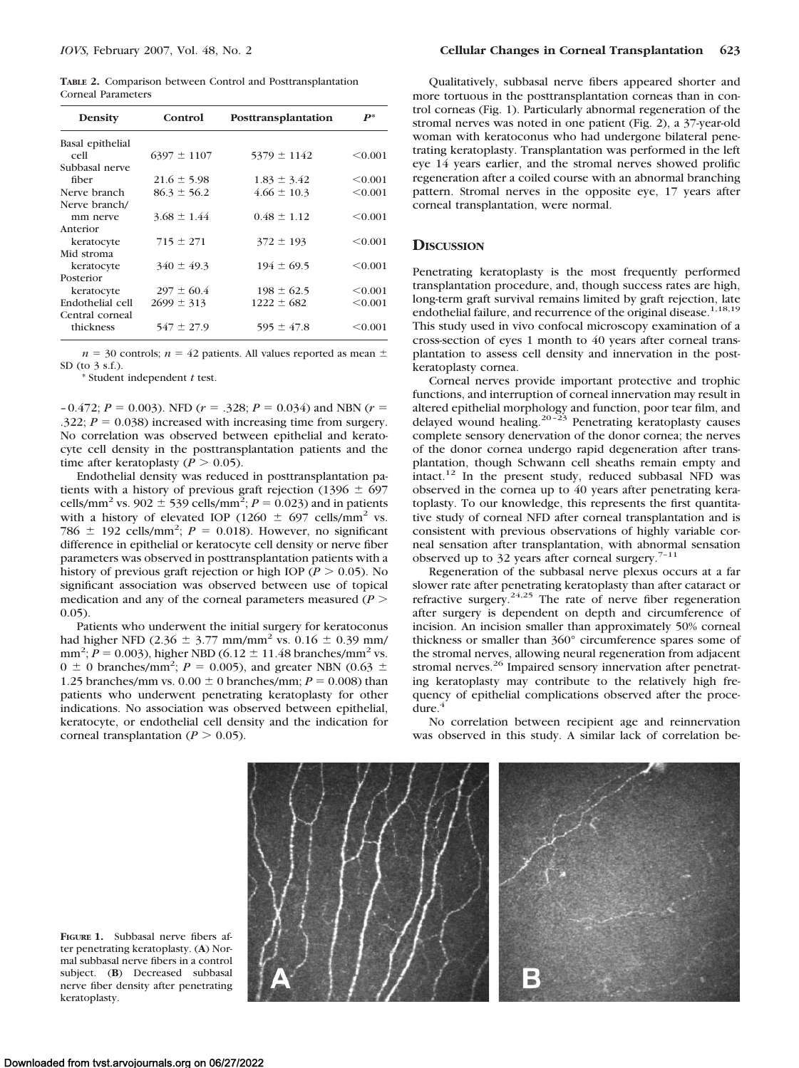**TABLE 2.** Comparison between Control and Posttransplantation Corneal Parameters

| <b>Density</b>   | Control         | Posttransplantation | $P^*$   |
|------------------|-----------------|---------------------|---------|
| Basal epithelial |                 |                     |         |
| cell             | $6397 \pm 1107$ | $5379 \pm 1142$     | < 0.001 |
| Subbasal nerve   |                 |                     |         |
| fiber            | $21.6 \pm 5.98$ | $1.83 \pm 3.42$     | < 0.001 |
| Nerve branch     | $86.3 \pm 56.2$ | $4.66 \pm 10.3$     | < 0.001 |
| Nerve branch/    |                 |                     |         |
| mm nerve         | $3.68 \pm 1.44$ | $0.48 \pm 1.12$     | < 0.001 |
| Anterior         |                 |                     |         |
| keratocyte       | $715 \pm 271$   | $372 \pm 193$       | < 0.001 |
| Mid stroma       |                 |                     |         |
| keratocyte       | $340 \pm 49.3$  | $194 \pm 69.5$      | < 0.001 |
| Posterior        |                 |                     |         |
| keratocyte       | $297 \pm 60.4$  | $198 \pm 62.5$      | < 0.001 |
| Endothelial cell | $2699 \pm 313$  | $1222 \pm 682$      | < 0.001 |
| Central corneal  |                 |                     |         |
| thickness        | $547 \pm 27.9$  | $595 \pm 47.8$      | < 0.001 |
|                  |                 |                     |         |

 $n = 30$  controls;  $n = 42$  patients. All values reported as mean  $\pm$ SD (to 3 s.f.).

\* Student independent *t* test.

 $-0.472$ ;  $P = 0.003$ ). NFD ( $r = .328$ ;  $P = 0.034$ ) and NBN ( $r =$ .322;  $P = 0.038$ ) increased with increasing time from surgery. No correlation was observed between epithelial and keratocyte cell density in the posttransplantation patients and the time after keratoplasty ( $P > 0.05$ ).

Endothelial density was reduced in posttransplantation patients with a history of previous graft rejection (1396  $\pm$  697 cells/mm<sup>2</sup> vs. 902  $\pm$  539 cells/mm<sup>2</sup>; *P* = 0.023) and in patients with a history of elevated IOP (1260  $\pm$  697 cells/mm<sup>2</sup> vs. 786  $\pm$  192 cells/mm<sup>2</sup>;  $P = 0.018$ ). However, no significant difference in epithelial or keratocyte cell density or nerve fiber parameters was observed in posttransplantation patients with a history of previous graft rejection or high IOP ( $P > 0.05$ ). No significant association was observed between use of topical medication and any of the corneal parameters measured (*P* 0.05).

Patients who underwent the initial surgery for keratoconus had higher NFD (2.36  $\pm$  3.77 mm/mm<sup>2</sup> vs. 0.16  $\pm$  0.39 mm/ mm<sup>2</sup>;  $\bar{P} = 0.003$ ), higher NBD (6.12  $\pm$  11.48 branches/mm<sup>2</sup> vs.  $0 \pm 0$  branches/mm<sup>2</sup>;  $P = 0.005$ ), and greater NBN (0.63  $\pm$ 1.25 branches/mm vs.  $0.00 \pm 0$  branches/mm;  $P = 0.008$ ) than patients who underwent penetrating keratoplasty for other indications. No association was observed between epithelial, keratocyte, or endothelial cell density and the indication for corneal transplantation ( $P > 0.05$ ).

Qualitatively, subbasal nerve fibers appeared shorter and more tortuous in the posttransplantation corneas than in control corneas (Fig. 1). Particularly abnormal regeneration of the stromal nerves was noted in one patient (Fig. 2), a 37-year-old woman with keratoconus who had undergone bilateral penetrating keratoplasty. Transplantation was performed in the left eye 14 years earlier, and the stromal nerves showed prolific regeneration after a coiled course with an abnormal branching pattern. Stromal nerves in the opposite eye, 17 years after corneal transplantation, were normal.

## **DISCUSSION**

Penetrating keratoplasty is the most frequently performed transplantation procedure, and, though success rates are high, long-term graft survival remains limited by graft rejection, late endothelial failure, and recurrence of the original disease.<sup>1,18,19</sup> This study used in vivo confocal microscopy examination of a cross-section of eyes 1 month to 40 years after corneal transplantation to assess cell density and innervation in the postkeratoplasty cornea.

Corneal nerves provide important protective and trophic functions, and interruption of corneal innervation may result in altered epithelial morphology and function, poor tear film, and delayed wound healing.<sup>20-23</sup> Penetrating keratoplasty causes complete sensory denervation of the donor cornea; the nerves of the donor cornea undergo rapid degeneration after transplantation, though Schwann cell sheaths remain empty and intact.<sup>12</sup> In the present study, reduced subbasal NFD was observed in the cornea up to 40 years after penetrating keratoplasty. To our knowledge, this represents the first quantitative study of corneal NFD after corneal transplantation and is consistent with previous observations of highly variable corneal sensation after transplantation, with abnormal sensation observed up to 32 years after corneal surgery.<sup>7-11</sup>

Regeneration of the subbasal nerve plexus occurs at a far slower rate after penetrating keratoplasty than after cataract or refractive surgery.<sup>24,25</sup> The rate of nerve fiber regeneration after surgery is dependent on depth and circumference of incision. An incision smaller than approximately 50% corneal thickness or smaller than 360° circumference spares some of the stromal nerves, allowing neural regeneration from adjacent stromal nerves.<sup>26</sup> Impaired sensory innervation after penetrating keratoplasty may contribute to the relatively high frequency of epithelial complications observed after the procedure.<sup>4</sup>

No correlation between recipient age and reinnervation was observed in this study. A similar lack of correlation be-



**FIGURE 1.** Subbasal nerve fibers after penetrating keratoplasty. (**A**) Normal subbasal nerve fibers in a control subject. (**B**) Decreased subbasal nerve fiber density after penetrating keratoplasty.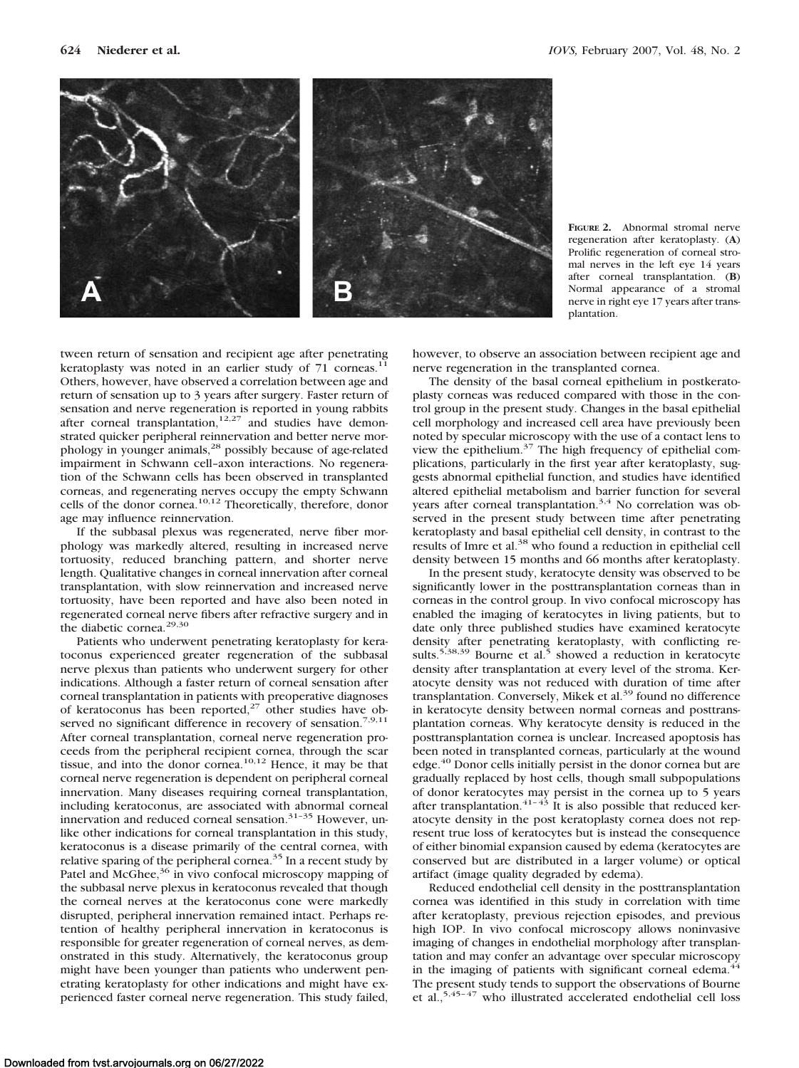

**FIGURE 2.** Abnormal stromal nerve regeneration after keratoplasty. (**A**) Prolific regeneration of corneal stromal nerves in the left eye 14 years after corneal transplantation. (**B**) Normal appearance of a stromal nerve in right eye 17 years after transplantation.

tween return of sensation and recipient age after penetrating keratoplasty was noted in an earlier study of 71 corneas.<sup>1</sup> Others, however, have observed a correlation between age and return of sensation up to 3 years after surgery. Faster return of sensation and nerve regeneration is reported in young rabbits after corneal transplantation, $12.27$  and studies have demonstrated quicker peripheral reinnervation and better nerve morphology in younger animals,<sup>28</sup> possibly because of age-related impairment in Schwann cell–axon interactions. No regeneration of the Schwann cells has been observed in transplanted corneas, and regenerating nerves occupy the empty Schwann cells of the donor cornea.10,12 Theoretically, therefore, donor age may influence reinnervation.

If the subbasal plexus was regenerated, nerve fiber morphology was markedly altered, resulting in increased nerve tortuosity, reduced branching pattern, and shorter nerve length. Qualitative changes in corneal innervation after corneal transplantation, with slow reinnervation and increased nerve tortuosity, have been reported and have also been noted in regenerated corneal nerve fibers after refractive surgery and in the diabetic cornea.<sup>29,30</sup>

Patients who underwent penetrating keratoplasty for keratoconus experienced greater regeneration of the subbasal nerve plexus than patients who underwent surgery for other indications. Although a faster return of corneal sensation after corneal transplantation in patients with preoperative diagnoses of keratoconus has been reported, $27$  other studies have observed no significant difference in recovery of sensation.<sup>7,9,11</sup> After corneal transplantation, corneal nerve regeneration proceeds from the peripheral recipient cornea, through the scar tissue, and into the donor cornea. $10,12$  Hence, it may be that corneal nerve regeneration is dependent on peripheral corneal innervation. Many diseases requiring corneal transplantation, including keratoconus, are associated with abnormal corneal innervation and reduced corneal sensation.<sup>31-35</sup> However, unlike other indications for corneal transplantation in this study, keratoconus is a disease primarily of the central cornea, with relative sparing of the peripheral cornea.<sup>35</sup> In a recent study by Patel and McGhee,<sup>36</sup> in vivo confocal microscopy mapping of the subbasal nerve plexus in keratoconus revealed that though the corneal nerves at the keratoconus cone were markedly disrupted, peripheral innervation remained intact. Perhaps retention of healthy peripheral innervation in keratoconus is responsible for greater regeneration of corneal nerves, as demonstrated in this study. Alternatively, the keratoconus group might have been younger than patients who underwent penetrating keratoplasty for other indications and might have experienced faster corneal nerve regeneration. This study failed,

however, to observe an association between recipient age and nerve regeneration in the transplanted cornea.

The density of the basal corneal epithelium in postkeratoplasty corneas was reduced compared with those in the control group in the present study. Changes in the basal epithelial cell morphology and increased cell area have previously been noted by specular microscopy with the use of a contact lens to view the epithelium. $37$  The high frequency of epithelial complications, particularly in the first year after keratoplasty, suggests abnormal epithelial function, and studies have identified altered epithelial metabolism and barrier function for several years after corneal transplantation.<sup>3,4</sup> No correlation was observed in the present study between time after penetrating keratoplasty and basal epithelial cell density, in contrast to the results of Imre et al.<sup>38</sup> who found a reduction in epithelial cell density between 15 months and 66 months after keratoplasty.

In the present study, keratocyte density was observed to be significantly lower in the posttransplantation corneas than in corneas in the control group. In vivo confocal microscopy has enabled the imaging of keratocytes in living patients, but to date only three published studies have examined keratocyte density after penetrating keratoplasty, with conflicting results.<sup>5,38,39</sup> Bourne et al.<sup>5</sup> showed a reduction in keratocyte density after transplantation at every level of the stroma. Keratocyte density was not reduced with duration of time after transplantation. Conversely, Mikek et al.<sup>39</sup> found no difference in keratocyte density between normal corneas and posttransplantation corneas. Why keratocyte density is reduced in the posttransplantation cornea is unclear. Increased apoptosis has been noted in transplanted corneas, particularly at the wound edge.<sup>40</sup> Donor cells initially persist in the donor cornea but are gradually replaced by host cells, though small subpopulations of donor keratocytes may persist in the cornea up to 5 years after transplantation.<sup>41-43</sup> It is also possible that reduced keratocyte density in the post keratoplasty cornea does not represent true loss of keratocytes but is instead the consequence of either binomial expansion caused by edema (keratocytes are conserved but are distributed in a larger volume) or optical artifact (image quality degraded by edema).

Reduced endothelial cell density in the posttransplantation cornea was identified in this study in correlation with time after keratoplasty, previous rejection episodes, and previous high IOP. In vivo confocal microscopy allows noninvasive imaging of changes in endothelial morphology after transplantation and may confer an advantage over specular microscopy in the imaging of patients with significant corneal edema.<sup>4</sup> The present study tends to support the observations of Bourne et al.,<sup>5,45-47</sup> who illustrated accelerated endothelial cell loss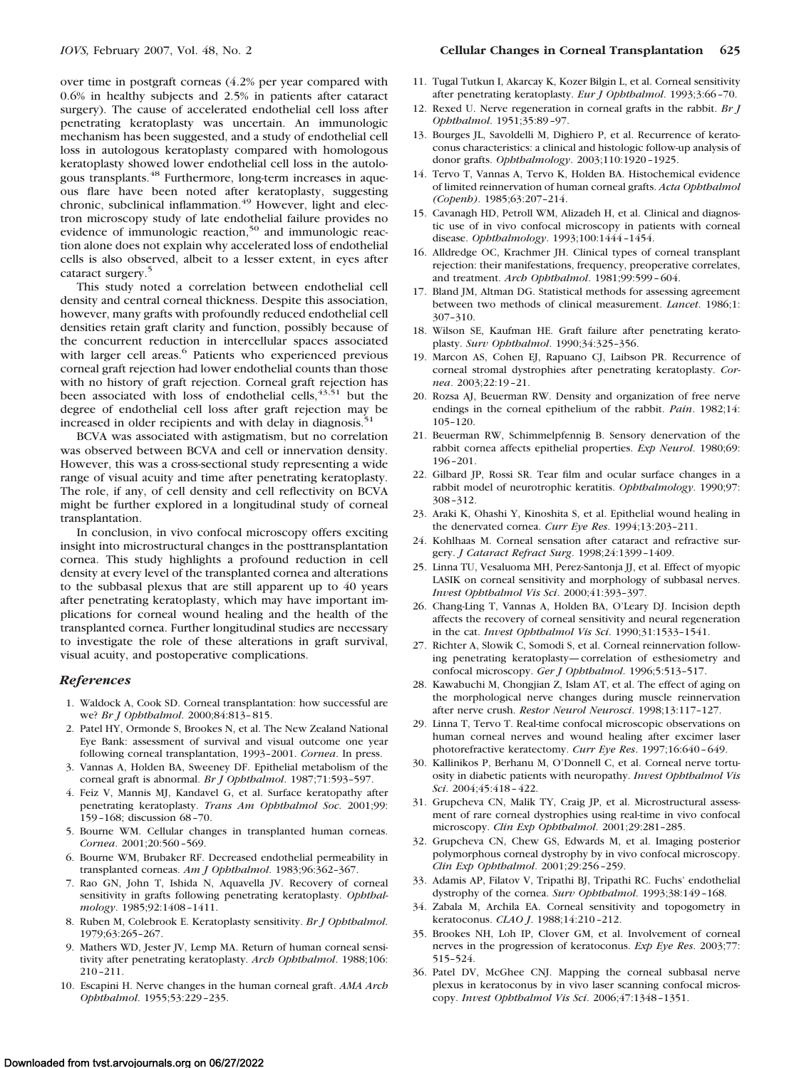over time in postgraft corneas (4.2% per year compared with 0.6% in healthy subjects and 2.5% in patients after cataract surgery). The cause of accelerated endothelial cell loss after penetrating keratoplasty was uncertain. An immunologic mechanism has been suggested, and a study of endothelial cell loss in autologous keratoplasty compared with homologous keratoplasty showed lower endothelial cell loss in the autologous transplants.48 Furthermore, long-term increases in aqueous flare have been noted after keratoplasty, suggesting chronic, subclinical inflammation.<sup>49</sup> However, light and electron microscopy study of late endothelial failure provides no evidence of immunologic reaction,<sup>50</sup> and immunologic reaction alone does not explain why accelerated loss of endothelial cells is also observed, albeit to a lesser extent, in eyes after cataract surgery.<sup>5</sup>

This study noted a correlation between endothelial cell density and central corneal thickness. Despite this association, however, many grafts with profoundly reduced endothelial cell densities retain graft clarity and function, possibly because of the concurrent reduction in intercellular spaces associated with larger cell areas.<sup>6</sup> Patients who experienced previous corneal graft rejection had lower endothelial counts than those with no history of graft rejection. Corneal graft rejection has been associated with loss of endothelial cells,  $43,51$  but the degree of endothelial cell loss after graft rejection may be increased in older recipients and with delay in diagnosis.<sup>51</sup>

BCVA was associated with astigmatism, but no correlation was observed between BCVA and cell or innervation density. However, this was a cross-sectional study representing a wide range of visual acuity and time after penetrating keratoplasty. The role, if any, of cell density and cell reflectivity on BCVA might be further explored in a longitudinal study of corneal transplantation.

In conclusion, in vivo confocal microscopy offers exciting insight into microstructural changes in the posttransplantation cornea. This study highlights a profound reduction in cell density at every level of the transplanted cornea and alterations to the subbasal plexus that are still apparent up to 40 years after penetrating keratoplasty, which may have important implications for corneal wound healing and the health of the transplanted cornea. Further longitudinal studies are necessary to investigate the role of these alterations in graft survival, visual acuity, and postoperative complications.

#### *References*

- 1. Waldock A, Cook SD. Corneal transplantation: how successful are we? *Br J Ophthalmol*. 2000;84:813– 815.
- 2. Patel HY, Ormonde S, Brookes N, et al. The New Zealand National Eye Bank: assessment of survival and visual outcome one year following corneal transplantation, 1993–2001. *Cornea*. In press.
- 3. Vannas A, Holden BA, Sweeney DF. Epithelial metabolism of the corneal graft is abnormal. *Br J Ophthalmol*. 1987;71:593–597.
- 4. Feiz V, Mannis MJ, Kandavel G, et al. Surface keratopathy after penetrating keratoplasty. *Trans Am Ophthalmol Soc*. 2001;99: 159 –168; discussion 68 –70.
- 5. Bourne WM. Cellular changes in transplanted human corneas. *Cornea*. 2001;20:560 –569.
- 6. Bourne WM, Brubaker RF. Decreased endothelial permeability in transplanted corneas. *Am J Ophthalmol*. 1983;96:362–367.
- 7. Rao GN, John T, Ishida N, Aquavella JV. Recovery of corneal sensitivity in grafts following penetrating keratoplasty. *Ophthalmology*. 1985;92:1408 –1411.
- 8. Ruben M, Colebrook E. Keratoplasty sensitivity. *Br J Ophthalmol*. 1979;63:265–267.
- 9. Mathers WD, Jester JV, Lemp MA. Return of human corneal sensitivity after penetrating keratoplasty. *Arch Ophthalmol*. 1988;106: 210 –211.
- 10. Escapini H. Nerve changes in the human corneal graft. *AMA Arch Ophthalmol*. 1955;53:229 –235.
- 11. Tugal Tutkun I, Akarcay K, Kozer Bilgin L, et al. Corneal sensitivity after penetrating keratoplasty. *Eur J Ophthalmol*. 1993;3:66 –70.
- 12. Rexed U. Nerve regeneration in corneal grafts in the rabbit. *Br J Ophthalmol*. 1951;35:89 –97.
- 13. Bourges JL, Savoldelli M, Dighiero P, et al. Recurrence of keratoconus characteristics: a clinical and histologic follow-up analysis of donor grafts. *Ophthalmology*. 2003;110:1920 –1925.
- 14. Tervo T, Vannas A, Tervo K, Holden BA. Histochemical evidence of limited reinnervation of human corneal grafts. *Acta Ophthalmol (Copenh)*. 1985;63:207–214.
- 15. Cavanagh HD, Petroll WM, Alizadeh H, et al. Clinical and diagnostic use of in vivo confocal microscopy in patients with corneal disease. *Ophthalmology*. 1993;100:1444 –1454.
- 16. Alldredge OC, Krachmer JH. Clinical types of corneal transplant rejection: their manifestations, frequency, preoperative correlates, and treatment. *Arch Ophthalmol*. 1981;99:599 – 604.
- 17. Bland JM, Altman DG. Statistical methods for assessing agreement between two methods of clinical measurement. *Lancet*. 1986;1: 307–310.
- 18. Wilson SE, Kaufman HE. Graft failure after penetrating keratoplasty. *Surv Ophthalmol*. 1990;34:325–356.
- 19. Marcon AS, Cohen EJ, Rapuano CJ, Laibson PR. Recurrence of corneal stromal dystrophies after penetrating keratoplasty. *Cornea*. 2003;22:19 –21.
- 20. Rozsa AJ, Beuerman RW. Density and organization of free nerve endings in the corneal epithelium of the rabbit. *Pain*. 1982;14: 105–120.
- 21. Beuerman RW, Schimmelpfennig B. Sensory denervation of the rabbit cornea affects epithelial properties. *Exp Neurol*. 1980;69: 196 –201.
- 22. Gilbard JP, Rossi SR. Tear film and ocular surface changes in a rabbit model of neurotrophic keratitis. *Ophthalmology*. 1990;97: 308 –312.
- 23. Araki K, Ohashi Y, Kinoshita S, et al. Epithelial wound healing in the denervated cornea. *Curr Eye Res*. 1994;13:203–211.
- 24. Kohlhaas M. Corneal sensation after cataract and refractive surgery. *J Cataract Refract Surg*. 1998;24:1399 –1409.
- 25. Linna TU, Vesaluoma MH, Perez-Santonja JJ, et al. Effect of myopic LASIK on corneal sensitivity and morphology of subbasal nerves. *Invest Ophthalmol Vis Sci*. 2000;41:393–397.
- 26. Chang-Ling T, Vannas A, Holden BA, O'Leary DJ. Incision depth affects the recovery of corneal sensitivity and neural regeneration in the cat. *Invest Ophthalmol Vis Sci*. 1990;31:1533–1541.
- 27. Richter A, Slowik C, Somodi S, et al. Corneal reinnervation following penetrating keratoplasty—correlation of esthesiometry and confocal microscopy. *Ger J Ophthalmol*. 1996;5:513–517.
- 28. Kawabuchi M, Chongjian Z, Islam AT, et al. The effect of aging on the morphological nerve changes during muscle reinnervation after nerve crush. *Restor Neurol Neurosci*. 1998;13:117–127.
- 29. Linna T, Tervo T. Real-time confocal microscopic observations on human corneal nerves and wound healing after excimer laser photorefractive keratectomy. *Curr Eye Res*. 1997;16:640 – 649.
- 30. Kallinikos P, Berhanu M, O'Donnell C, et al. Corneal nerve tortuosity in diabetic patients with neuropathy. *Invest Ophthalmol Vis Sci*. 2004;45:418 – 422.
- 31. Grupcheva CN, Malik TY, Craig JP, et al. Microstructural assessment of rare corneal dystrophies using real-time in vivo confocal microscopy. *Clin Exp Ophthalmol*. 2001;29:281–285.
- 32. Grupcheva CN, Chew GS, Edwards M, et al. Imaging posterior polymorphous corneal dystrophy by in vivo confocal microscopy. *Clin Exp Ophthalmol*. 2001;29:256 –259.
- 33. Adamis AP, Filatov V, Tripathi BJ, Tripathi RC. Fuchs' endothelial dystrophy of the cornea. *Surv Ophthalmol*. 1993;38:149 –168.
- 34. Zabala M, Archila EA. Corneal sensitivity and topogometry in keratoconus. *CLAO J*. 1988;14:210 –212.
- 35. Brookes NH, Loh IP, Clover GM, et al. Involvement of corneal nerves in the progression of keratoconus. *Exp Eye Res*. 2003;77: 515–524.
- 36. Patel DV, McGhee CNJ. Mapping the corneal subbasal nerve plexus in keratoconus by in vivo laser scanning confocal microscopy. *Invest Ophthalmol Vis Sci*. 2006;47:1348 –1351.